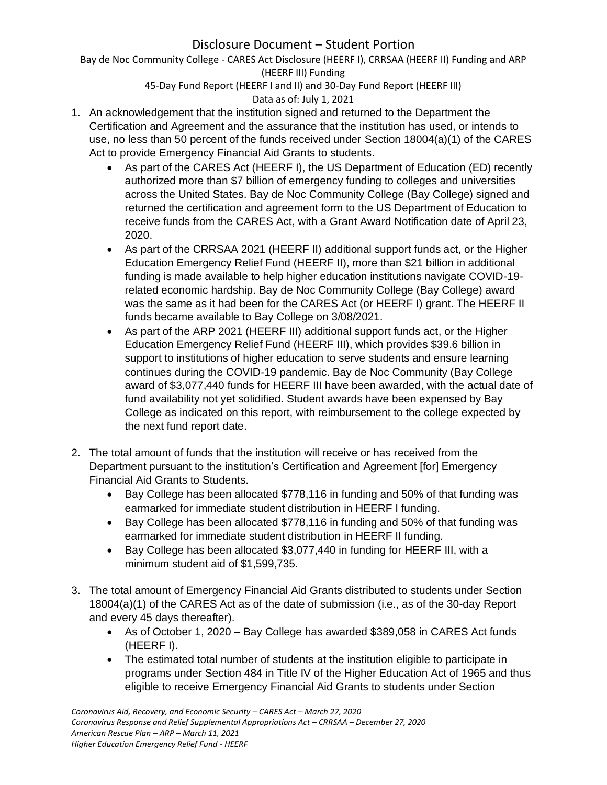Bay de Noc Community College - CARES Act Disclosure (HEERF I), CRRSAA (HEERF II) Funding and ARP (HEERF III) Funding

45-Day Fund Report (HEERF I and II) and 30-Day Fund Report (HEERF III)

# Data as of: July 1, 2021

- 1. An acknowledgement that the institution signed and returned to the Department the Certification and Agreement and the assurance that the institution has used, or intends to use, no less than 50 percent of the funds received under Section 18004(a)(1) of the CARES Act to provide Emergency Financial Aid Grants to students.
	- As part of the CARES Act (HEERF I), the US Department of Education (ED) recently authorized more than \$7 billion of emergency funding to colleges and universities across the United States. Bay de Noc Community College (Bay College) signed and returned the certification and agreement form to the US Department of Education to receive funds from the CARES Act, with a Grant Award Notification date of April 23, 2020.
	- As part of the CRRSAA 2021 (HEERF II) additional support funds act, or the Higher Education Emergency Relief Fund (HEERF II), more than \$21 billion in additional funding is made available to help higher education institutions navigate COVID-19 related economic hardship. Bay de Noc Community College (Bay College) award was the same as it had been for the CARES Act (or HEERF I) grant. The HEERF II funds became available to Bay College on 3/08/2021.
	- As part of the ARP 2021 (HEERF III) additional support funds act, or the Higher Education Emergency Relief Fund (HEERF III), which provides \$39.6 billion in support to institutions of higher education to serve students and ensure learning continues during the COVID-19 pandemic. Bay de Noc Community (Bay College award of \$3,077,440 funds for HEERF III have been awarded, with the actual date of fund availability not yet solidified. Student awards have been expensed by Bay College as indicated on this report, with reimbursement to the college expected by the next fund report date.
- 2. The total amount of funds that the institution will receive or has received from the Department pursuant to the institution's Certification and Agreement [for] Emergency Financial Aid Grants to Students.
	- Bay College has been allocated \$778,116 in funding and 50% of that funding was earmarked for immediate student distribution in HEERF I funding.
	- Bay College has been allocated \$778,116 in funding and 50% of that funding was earmarked for immediate student distribution in HEERF II funding.
	- Bay College has been allocated \$3,077,440 in funding for HEERF III, with a minimum student aid of \$1,599,735.
- 3. The total amount of Emergency Financial Aid Grants distributed to students under Section 18004(a)(1) of the CARES Act as of the date of submission (i.e., as of the 30-day Report and every 45 days thereafter).
	- As of October 1, 2020 Bay College has awarded \$389,058 in CARES Act funds (HEERF I).
	- The estimated total number of students at the institution eligible to participate in programs under Section 484 in Title IV of the Higher Education Act of 1965 and thus eligible to receive Emergency Financial Aid Grants to students under Section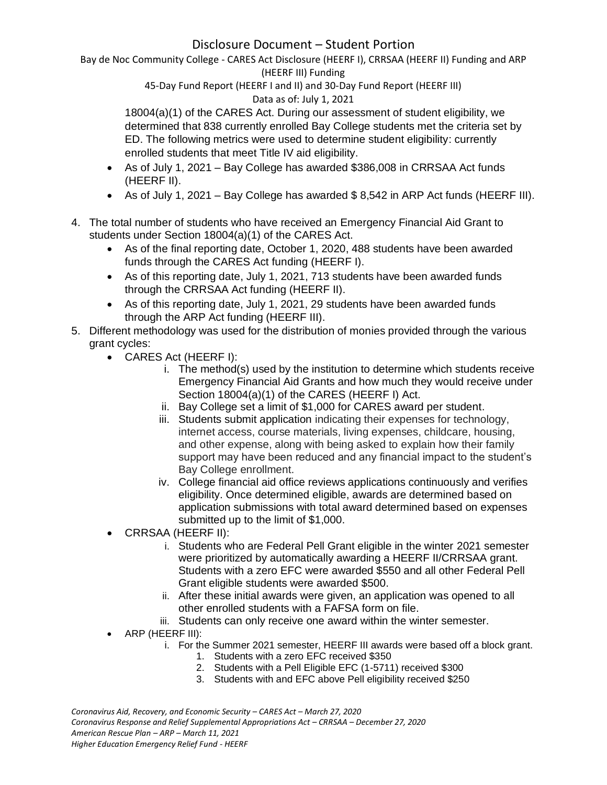Bay de Noc Community College - CARES Act Disclosure (HEERF I), CRRSAA (HEERF II) Funding and ARP (HEERF III) Funding

> 45-Day Fund Report (HEERF I and II) and 30-Day Fund Report (HEERF III) Data as of: July 1, 2021

18004(a)(1) of the CARES Act. During our assessment of student eligibility, we determined that 838 currently enrolled Bay College students met the criteria set by ED. The following metrics were used to determine student eligibility: currently enrolled students that meet Title IV aid eligibility.

- As of July 1, 2021 Bay College has awarded \$386,008 in CRRSAA Act funds (HEERF II).
- As of July 1, 2021 Bay College has awarded  $$8,542$  in ARP Act funds (HEERF III).
- 4. The total number of students who have received an Emergency Financial Aid Grant to students under Section 18004(a)(1) of the CARES Act.
	- As of the final reporting date, October 1, 2020, 488 students have been awarded funds through the CARES Act funding (HEERF I).
	- As of this reporting date, July 1, 2021, 713 students have been awarded funds through the CRRSAA Act funding (HEERF II).
	- As of this reporting date, July 1, 2021, 29 students have been awarded funds through the ARP Act funding (HEERF III).
- 5. Different methodology was used for the distribution of monies provided through the various grant cycles:
	- CARES Act (HEERF I):
		- i. The method(s) used by the institution to determine which students receive Emergency Financial Aid Grants and how much they would receive under Section 18004(a)(1) of the CARES (HEERF I) Act.
		- ii. Bay College set a limit of \$1,000 for CARES award per student.
		- iii. Students submit application indicating their expenses for technology, internet access, course materials, living expenses, childcare, housing, and other expense, along with being asked to explain how their family support may have been reduced and any financial impact to the student's Bay College enrollment.
		- iv. College financial aid office reviews applications continuously and verifies eligibility. Once determined eligible, awards are determined based on application submissions with total award determined based on expenses submitted up to the limit of \$1,000.
	- CRRSAA (HEERF II):
		- i. Students who are Federal Pell Grant eligible in the winter 2021 semester were prioritized by automatically awarding a HEERF II/CRRSAA grant. Students with a zero EFC were awarded \$550 and all other Federal Pell Grant eligible students were awarded \$500.
		- ii. After these initial awards were given, an application was opened to all other enrolled students with a FAFSA form on file.
		- iii. Students can only receive one award within the winter semester.
	- ARP (HEERF III):
		- i. For the Summer 2021 semester, HEERF III awards were based off a block grant.
			- 1. Students with a zero EFC received \$350
			- 2. Students with a Pell Eligible EFC (1-5711) received \$300
			- 3. Students with and EFC above Pell eligibility received \$250

*Coronavirus Aid, Recovery, and Economic Security – CARES Act – March 27, 2020 Coronavirus Response and Relief Supplemental Appropriations Act – CRRSAA – December 27, 2020 American Rescue Plan – ARP – March 11, 2021 Higher Education Emergency Relief Fund - HEERF*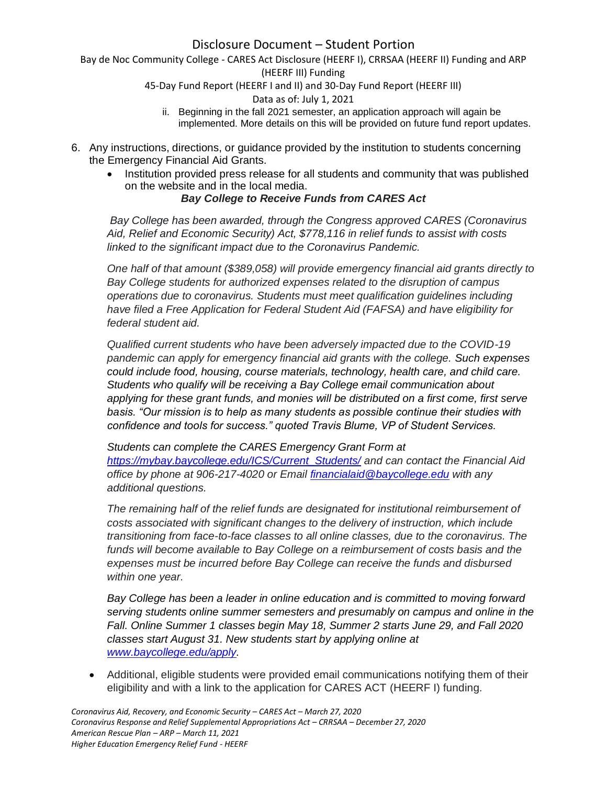Bay de Noc Community College - CARES Act Disclosure (HEERF I), CRRSAA (HEERF II) Funding and ARP (HEERF III) Funding

45-Day Fund Report (HEERF I and II) and 30-Day Fund Report (HEERF III)

#### Data as of: July 1, 2021

- ii. Beginning in the fall 2021 semester, an application approach will again be implemented. More details on this will be provided on future fund report updates.
- 6. Any instructions, directions, or guidance provided by the institution to students concerning the Emergency Financial Aid Grants.
	- Institution provided press release for all students and community that was published on the website and in the local media.

### *Bay College to Receive Funds from CARES Act*

*Bay College has been awarded, through the Congress approved CARES (Coronavirus Aid, Relief and Economic Security) Act, \$778,116 in relief funds to assist with costs linked to the significant impact due to the Coronavirus Pandemic.*

*One half of that amount (\$389,058) will provide emergency financial aid grants directly to Bay College students for authorized expenses related to the disruption of campus operations due to coronavirus. Students must meet qualification guidelines including have filed a Free Application for Federal Student Aid (FAFSA) and have eligibility for federal student aid.*

*Qualified current students who have been adversely impacted due to the COVID-19 pandemic can apply for emergency financial aid grants with the college. Such expenses could include food, housing, course materials, technology, health care, and child care. Students who qualify will be receiving a Bay College email communication about applying for these grant funds, and monies will be distributed on a first come, first serve basis. "Our mission is to help as many students as possible continue their studies with confidence and tools for success." quoted Travis Blume, VP of Student Services.*

*Students can complete the CARES Emergency Grant Form at [https://mybay.baycollege.edu/ICS/Current\\_Students/](https://mybay.baycollege.edu/ICS/Current_Students/) and can contact the Financial Aid office by phone at 906-217-4020 or Email [financialaid@baycollege.edu](mailto:financialaid@baycollege.edu) with any additional questions.*

*The remaining half of the relief funds are designated for institutional reimbursement of costs associated with significant changes to the delivery of instruction, which include transitioning from face-to-face classes to all online classes, due to the coronavirus. The funds will become available to Bay College on a reimbursement of costs basis and the expenses must be incurred before Bay College can receive the funds and disbursed within one year.*

*Bay College has been a leader in online education and is committed to moving forward serving students online summer semesters and presumably on campus and online in the Fall. Online Summer 1 classes begin May 18, Summer 2 starts June 29, and Fall 2020 classes start August 31. New students start by applying online at [www.baycollege.edu/apply.](http://www.baycollege.edu/apply)*

• Additional, eligible students were provided email communications notifying them of their eligibility and with a link to the application for CARES ACT (HEERF I) funding.